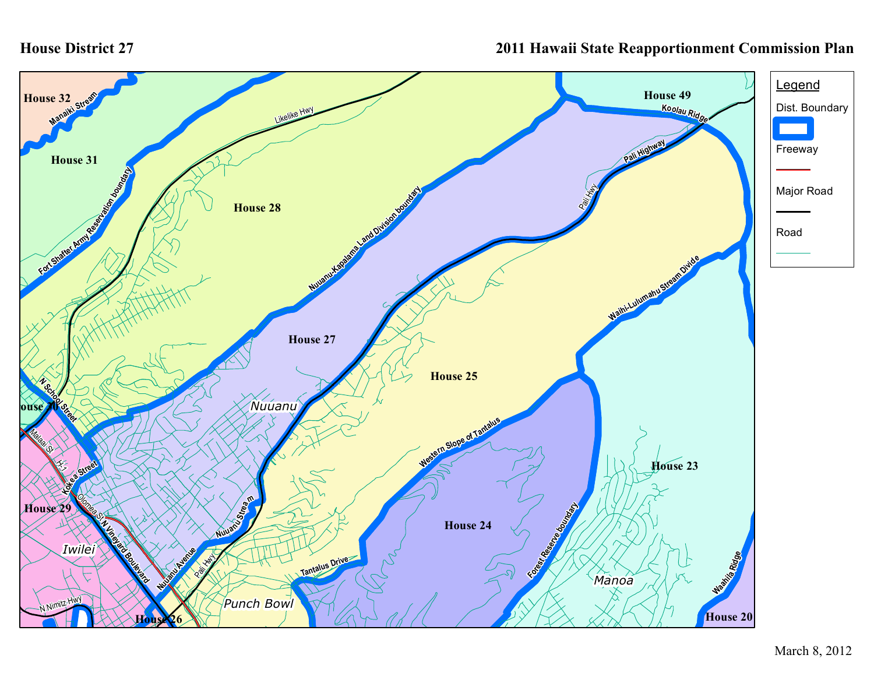## **House District 27**

## **2011 Hawaii State Reapportionment Commission Plan**